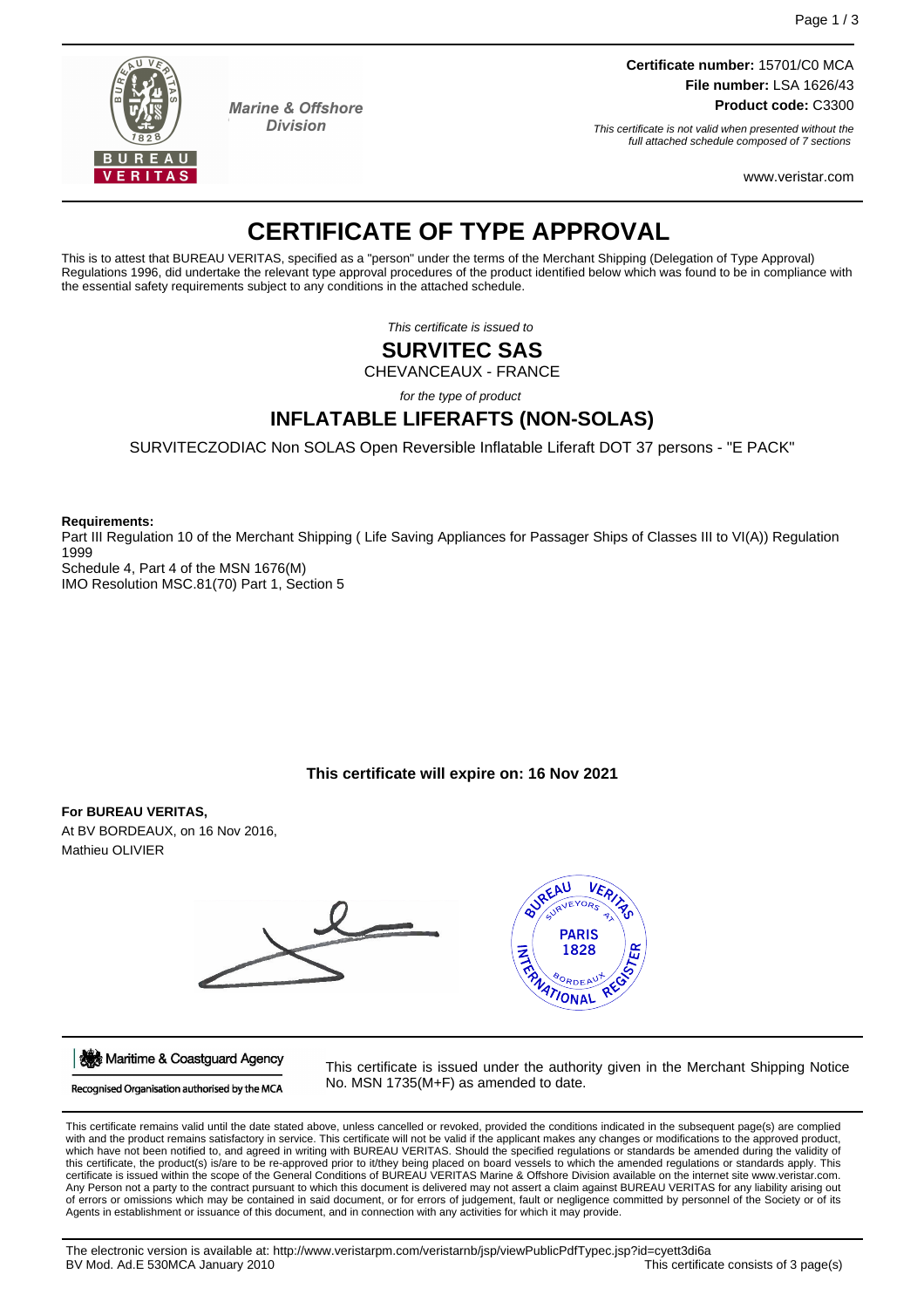

**Marine & Offshore Division** 

**Certificate number:** 15701/C0 MCA **File number:** LSA 1626/43 **Product code:** C3300

This certificate is not valid when presented without the full attached schedule composed of 7 sections

www.veristar.com

# **CERTIFICATE OF TYPE APPROVAL**

This is to attest that BUREAU VERITAS, specified as a "person" under the terms of the Merchant Shipping (Delegation of Type Approval) Regulations 1996, did undertake the relevant type approval procedures of the product identified below which was found to be in compliance with the essential safety requirements subject to any conditions in the attached schedule.

This certificate is issued to

## **SURVITEC SAS**

CHEVANCEAUX - FRANCE

for the type of product

## **INFLATABLE LIFERAFTS (NON-SOLAS)**

SURVITECZODIAC Non SOLAS Open Reversible Inflatable Liferaft DOT 37 persons - "E PACK"

**Requirements:**

Part III Regulation 10 of the Merchant Shipping ( Life Saving Appliances for Passager Ships of Classes III to VI(A)) Regulation 1999 Schedule 4, Part 4 of the MSN 1676(M)

IMO Resolution MSC.81(70) Part 1, Section 5

## **This certificate will expire on: 16 Nov 2021**

## **For BUREAU VERITAS,**

At BV BORDEAUX, on 16 Nov 2016, Mathieu OLIVIER



Maritime & Coastguard Agency

Recognised Organisation authorised by the MCA

This certificate is issued under the authority given in the Merchant Shipping Notice No. MSN 1735(M+F) as amended to date.

This certificate remains valid until the date stated above, unless cancelled or revoked, provided the conditions indicated in the subsequent page(s) are complied<br>with and the product remains satisfactory in service. This c which have not been notified to, and agreed in writing with BUREAU VERITAS. Should the specified regulations or standards be amended during the validity of this certificate, the product(s) is/are to be re-approved prior to it/they being placed on board vessels to which the amended regulations or standards apply. This certificate is issued within the scope of the General Conditions of BUREAU VERITAS Marine & Offshore Division available on the internet site www.veristar.com. Any Person not a party to the contract pursuant to which this document is delivered may not assert a claim against BUREAU VERITAS for any liability arising out of errors or omissions which may be contained in said document, or for errors of judgement, fault or negligence committed by personnel of the Society or of its Agents in establishment or issuance of this document, and in connection with any activities for which it may provide.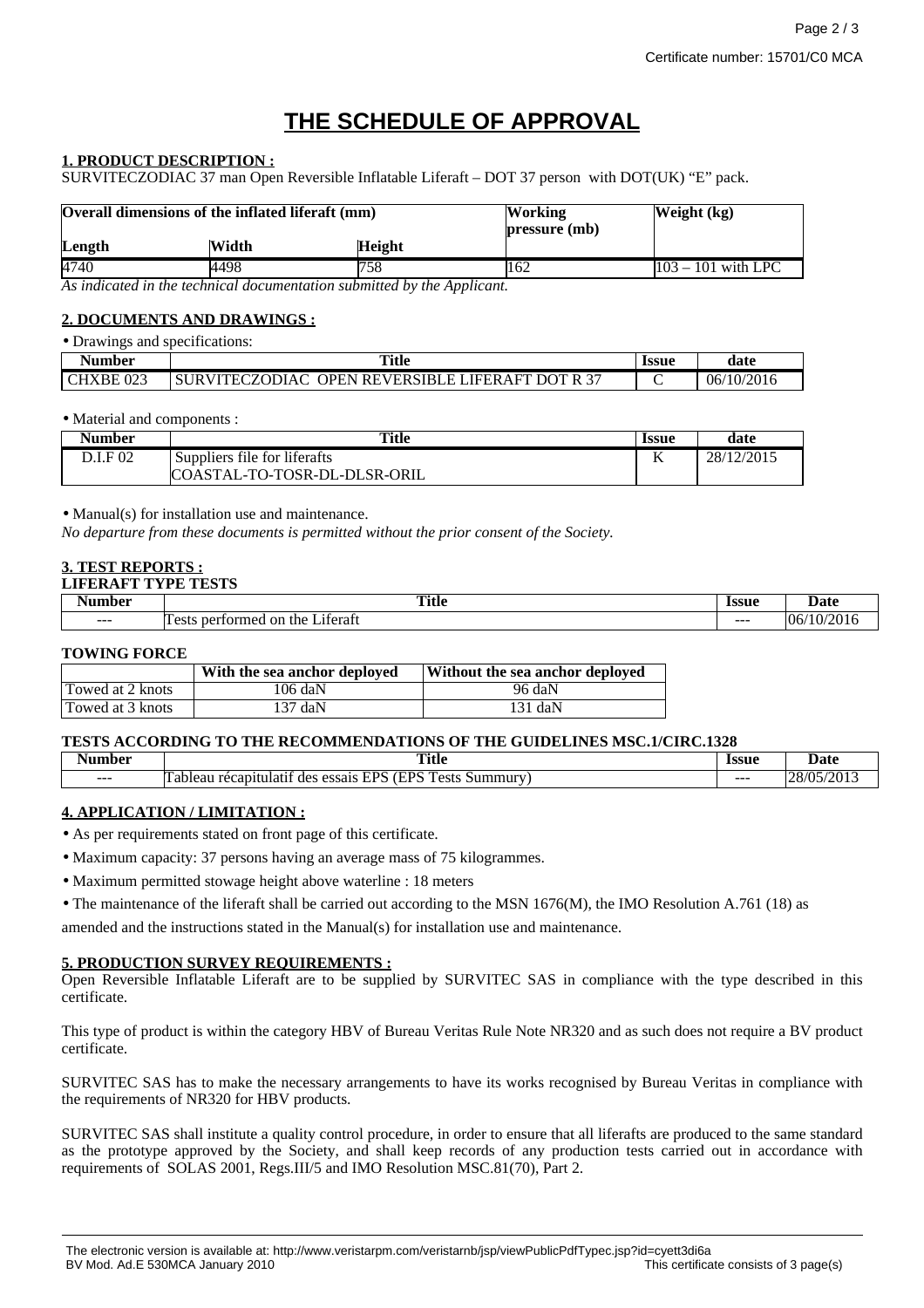# **THE SCHEDULE OF APPROVAL**

### **1. PRODUCT DESCRIPTION :**

SURVITECZODIAC 37 man Open Reversible Inflatable Liferaft – DOT 37 person with DOT(UK) "E" pack.

| Overall dimensions of the inflated liferaft (mm) |       |               | <b>Working</b><br>pressure (mb) | Weight (kg)          |
|--------------------------------------------------|-------|---------------|---------------------------------|----------------------|
| Length                                           | Width | <b>Height</b> |                                 |                      |
| 4740                                             | 4498  | 758           | 162                             | $103 - 101$ with LPC |

*As indicated in the technical documentation submitted by the Applicant.*

### **2. DOCUMENTS AND DRAWINGS :**

| • Drawings and specifications: |                                                  |       |            |
|--------------------------------|--------------------------------------------------|-------|------------|
| Number                         | Title                                            | Issue | date       |
| CHXBE <sub>023</sub>           | SURVITECZODIAC OPEN REVERSIBLE LIFERAFT DOT R 37 |       | 06/10/2016 |

#### • Material and components :

| Number   | <b>Title</b>                 | <b>Issue</b> | date       |
|----------|------------------------------|--------------|------------|
| D.I.F 02 | Suppliers file for liferafts | T7           | 28/12/2015 |
|          | COASTAL-TO-TOSR-DL-DLSR-ORIL |              |            |

• Manual(s) for installation use and maintenance.

*No departure from these documents is permitted without the prior consent of the Society.*

#### **3. TEST REPORTS : LIFERAFT TYPE TESTS**

| w       | <b>FETO</b><br>Title<br>$\sim$ $\sim$                              | Ісспе<br>133U.<br>. | $\mathbf{h} \cdot \mathbf{f}$<br>Date |
|---------|--------------------------------------------------------------------|---------------------|---------------------------------------|
| $- - -$ | $\sim$<br>∟iteratt<br>nerform<br>on<br>the<br>i ost<br>ner.<br>ЭL. | $- - -$             | 106<br>10                             |

#### **TOWING FORCE**

|                  | With the sea anchor deployed | Without the sea anchor deployed |
|------------------|------------------------------|---------------------------------|
| Towed at 2 knots | 106 daN                      | 96 daN                          |
| Towed at 3 knots | 137 daN                      | 131 daN                         |

#### **TESTS ACCORDING TO THE RECOMMENDATIONS OF THE GUIDELINES MSC.1/CIRC.1328**

| Aumber  | <b>Title</b><br>$\sim$ $\sim$                                                                                                                       | Issue<br>. | Date                                                           |
|---------|-----------------------------------------------------------------------------------------------------------------------------------------------------|------------|----------------------------------------------------------------|
| $- - -$ | <b>EDC</b><br>--<br><b>CDC</b><br>$\sim$<br>n<br>$. \Delta$ ct <sup>-</sup><br>ulatıf<br>des<br>recapit<br>essais<br>ableal<br>Summur<br>L 2 L<br>ຼ | ---        | $ \sim$ $\sim$<br>--<br>אחו סר<br>$\mathbf{u}$<br>$\mathbf{v}$ |

#### **4. APPLICATION / LIMITATION :**

• As per requirements stated on front page of this certificate.

• Maximum capacity: 37 persons having an average mass of 75 kilogrammes.

• Maximum permitted stowage height above waterline : 18 meters

• The maintenance of the liferaft shall be carried out according to the MSN 1676(M), the IMO Resolution A.761 (18) as

amended and the instructions stated in the Manual(s) for installation use and maintenance.

#### **5. PRODUCTION SURVEY REQUIREMENTS :**

Open Reversible Inflatable Liferaft are to be supplied by SURVITEC SAS in compliance with the type described in this certificate.

This type of product is within the category HBV of Bureau Veritas Rule Note NR320 and as such does not require a BV product certificate.

SURVITEC SAS has to make the necessary arrangements to have its works recognised by Bureau Veritas in compliance with the requirements of NR320 for HBV products.

SURVITEC SAS shall institute a quality control procedure, in order to ensure that all liferafts are produced to the same standard as the prototype approved by the Society, and shall keep records of any production tests carried out in accordance with requirements of SOLAS 2001, Regs.III/5 and IMO Resolution MSC.81(70), Part 2.